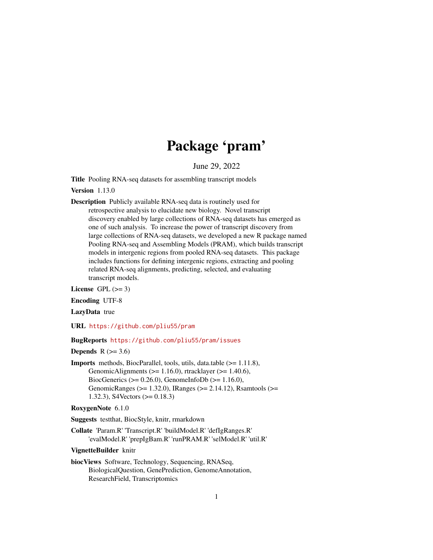# Package 'pram'

June 29, 2022

Title Pooling RNA-seq datasets for assembling transcript models

Version 1.13.0

Description Publicly available RNA-seq data is routinely used for retrospective analysis to elucidate new biology. Novel transcript discovery enabled by large collections of RNA-seq datasets has emerged as one of such analysis. To increase the power of transcript discovery from large collections of RNA-seq datasets, we developed a new R package named Pooling RNA-seq and Assembling Models (PRAM), which builds transcript models in intergenic regions from pooled RNA-seq datasets. This package includes functions for defining intergenic regions, extracting and pooling related RNA-seq alignments, predicting, selected, and evaluating transcript models.

License GPL  $(>= 3)$ 

Encoding UTF-8

LazyData true

URL <https://github.com/pliu55/pram>

#### BugReports <https://github.com/pliu55/pram/issues>

Depends  $R$  ( $> = 3.6$ )

Imports methods, BiocParallel, tools, utils, data.table (>= 1.11.8), GenomicAlignments ( $>= 1.16.0$ ), rtracklayer ( $>= 1.40.6$ ), BiocGenerics ( $> = 0.26.0$ ), GenomeInfoDb ( $> = 1.16.0$ ), GenomicRanges (>= 1.32.0), IRanges (>= 2.14.12), Rsamtools (>= 1.32.3), S4Vectors (>= 0.18.3)

```
RoxygenNote 6.1.0
```
Suggests testthat, BiocStyle, knitr, rmarkdown

Collate 'Param.R' 'Transcript.R' 'buildModel.R' 'defIgRanges.R' 'evalModel.R' 'prepIgBam.R' 'runPRAM.R' 'selModel.R' 'util.R'

VignetteBuilder knitr

biocViews Software, Technology, Sequencing, RNASeq, BiologicalQuestion, GenePrediction, GenomeAnnotation, ResearchField, Transcriptomics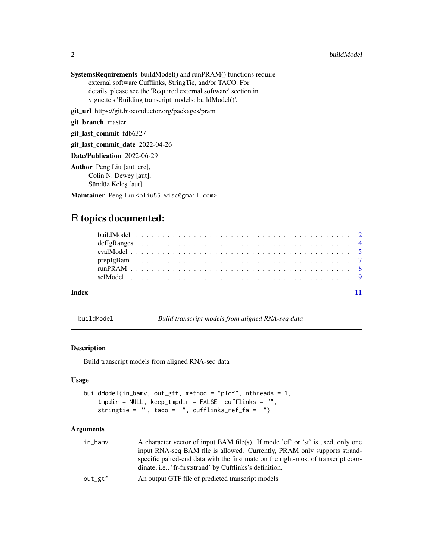<span id="page-1-0"></span>SystemsRequirements buildModel() and runPRAM() functions require external software Cufflinks, StringTie, and/or TACO. For details, please see the 'Required external software' section in vignette's 'Building transcript models: buildModel()'.

git\_url https://git.bioconductor.org/packages/pram

git\_branch master

git\_last\_commit fdb6327

git\_last\_commit\_date 2022-04-26

Date/Publication 2022-06-29

Author Peng Liu [aut, cre], Colin N. Dewey [aut], Sündüz Keleş [aut]

Maintainer Peng Liu <pliu55.wisc@gmail.com>

# R topics documented:

| Indev |  |  |  |  |  |  |  |  |  |  |  |  |  |  |  |  |  |  |
|-------|--|--|--|--|--|--|--|--|--|--|--|--|--|--|--|--|--|--|

buildModel *Build transcript models from aligned RNA-seq data*

#### Description

Build transcript models from aligned RNA-seq data

#### Usage

```
buildModel(in_bamv, out_gtf, method = "plcf", nthreads = 1,
    tmpdir = NULL, keep_tmpdir = FALSE, cufflinks = "",
   stringtie = "", taco = "", cufflinks_ref_fa = "")
```

| in_bamv | A character vector of input BAM file(s). If mode 'cf' or 'st' is used, only one    |
|---------|------------------------------------------------------------------------------------|
|         | input RNA-seq BAM file is allowed. Currently, PRAM only supports strand-           |
|         | specific paired-end data with the first mate on the right-most of transcript coor- |
|         | dinate, <i>i.e.</i> , 'fr-firststrand' by Cufflinks's definition.                  |
| out_gtf | An output GTF file of predicted transcript models                                  |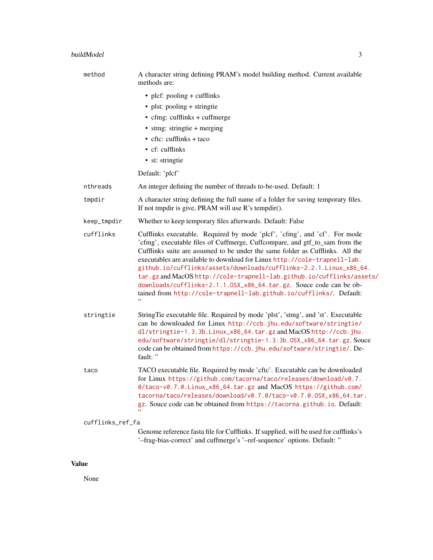| method           | A character string defining PRAM's model building method. Current available<br>methods are:                                                                                                                                                                                                                                                                                                                                                                                                                                                                                                                              |
|------------------|--------------------------------------------------------------------------------------------------------------------------------------------------------------------------------------------------------------------------------------------------------------------------------------------------------------------------------------------------------------------------------------------------------------------------------------------------------------------------------------------------------------------------------------------------------------------------------------------------------------------------|
|                  | $\bullet$ plcf: pooling + cufflinks                                                                                                                                                                                                                                                                                                                                                                                                                                                                                                                                                                                      |
|                  | • plst: pooling + stringtie                                                                                                                                                                                                                                                                                                                                                                                                                                                                                                                                                                                              |
|                  | • cfmg: cufflinks + cuffmerge                                                                                                                                                                                                                                                                                                                                                                                                                                                                                                                                                                                            |
|                  | • stmg: stringtie + merging                                                                                                                                                                                                                                                                                                                                                                                                                                                                                                                                                                                              |
|                  | $\bullet$ cftc: cufflinks + taco                                                                                                                                                                                                                                                                                                                                                                                                                                                                                                                                                                                         |
|                  | • cf: cufflinks                                                                                                                                                                                                                                                                                                                                                                                                                                                                                                                                                                                                          |
|                  | • st: stringtie                                                                                                                                                                                                                                                                                                                                                                                                                                                                                                                                                                                                          |
|                  | Default: 'plcf'                                                                                                                                                                                                                                                                                                                                                                                                                                                                                                                                                                                                          |
| nthreads         | An integer defining the number of threads to-be-used. Default: 1                                                                                                                                                                                                                                                                                                                                                                                                                                                                                                                                                         |
| tmpdir           | A character string defining the full name of a folder for saving temporary files.<br>If not tmpdir is give, PRAM will use R's tempdir().                                                                                                                                                                                                                                                                                                                                                                                                                                                                                 |
| keep_tmpdir      | Whether to keep temporary files afterwards. Default: False                                                                                                                                                                                                                                                                                                                                                                                                                                                                                                                                                               |
| cufflinks        | Cufflinks executable. Required by mode 'plcf', 'cfmg', and 'cf'. For mode<br>'cfmg', executable files of Cuffmerge, Cuffcompare, and gtf_to_sam from the<br>Cufflinks suite are assumed to be under the same folder as Cufflinks. All the<br>executables are available to download for Linux http://cole-trapnell-lab.<br>github.io/cufflinks/assets/downloads/cufflinks-2.2.1.Linux_x86_64.<br>tar.gz and MacOS http://cole-trapnell-lab.github.io/cufflinks/assets/<br>downloads/cufflinks-2.1.1.0SX_x86_64.tar.gz. Souce code can be ob-<br>tained from http://cole-trapnell-lab.github.io/cufflinks/. Default:<br>,, |
| stringtie        | String Tie executable file. Required by mode 'plst', 'stmg', and 'st'. Executable<br>can be downloaded for Linux http://ccb.jhu.edu/software/stringtie/<br>dl/stringtie-1.3.3b.Linux_x86_64.tar.gz and MacOS http://ccb.jhu.<br>edu/software/stringtie/dl/stringtie-1.3.3b.0SX_x86_64.tar.gz. Souce<br>code can be obtained from https://ccb.jhu.edu/software/stringtie/. De-<br>fault: "                                                                                                                                                                                                                                |
| taco             | TACO executable file. Required by mode 'cftc'. Executable can be downloaded<br>for Linux https://github.com/tacorna/taco/releases/download/v0.7.<br>0/taco-v0.7.0.Linux_x86_64.tar.gz and MacOS https://github.com/<br>tacorna/taco/releases/download/v0.7.0/taco-v0.7.0.0SX_x86_64.tar.<br>gz. Souce code can be obtained from https://tacorna.github.io. Default:                                                                                                                                                                                                                                                      |
| cufflinks_ref_fa |                                                                                                                                                                                                                                                                                                                                                                                                                                                                                                                                                                                                                          |
|                  | Genome reference fasta file for Cufflinks. If supplied, will be used for cufflinks's<br>'-frag-bias-correct' and cuffmerge's '-ref-sequence' options. Default: "                                                                                                                                                                                                                                                                                                                                                                                                                                                         |

# Value

None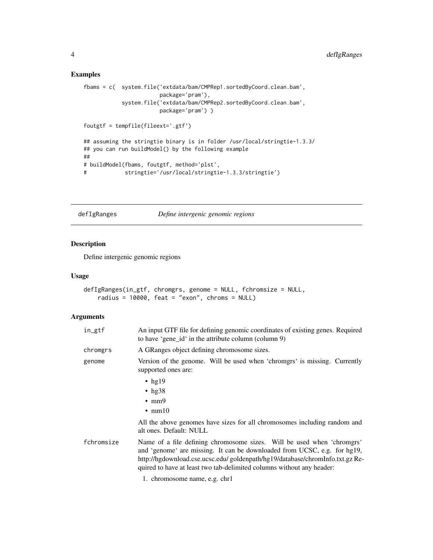### Examples

```
fbams = c( system.file('extdata/bam/CMPRep1.sortedByCoord.clean.bam',
                       package='pram'),
           system.file('extdata/bam/CMPRep2.sortedByCoord.clean.bam',
                       package='pram') )
foutgtf = tempfile(fileext='.gtf')
## assuming the stringtie binary is in folder /usr/local/stringtie-1.3.3/
## you can run buildModel() by the following example
##
# buildModel(fbams, foutgtf, method='plst',
# stringtie='/usr/local/stringtie-1.3.3/stringtie')
```
defIgRanges *Define intergenic genomic regions*

#### Description

Define intergenic genomic regions

#### Usage

```
defIgRanges(in_gtf, chromgrs, genome = NULL, fchromsize = NULL,
   radius = 10000, feat = "exon", chroms = NULL)
```

| in_gtf     | An input GTF file for defining genomic coordinates of existing genes. Required<br>to have 'gene_id' in the attribute column (column 9)                                                                                                                                                                       |
|------------|--------------------------------------------------------------------------------------------------------------------------------------------------------------------------------------------------------------------------------------------------------------------------------------------------------------|
| chromgrs   | A GRanges object defining chromosome sizes.                                                                                                                                                                                                                                                                  |
| genome     | Version of the genome. Will be used when 'chromgrs' is missing. Currently<br>supported ones are:                                                                                                                                                                                                             |
|            | $\cdot$ hg19<br>$\cdot$ hg38<br>$\cdot$ mm9<br>$\cdot$ mm10                                                                                                                                                                                                                                                  |
|            | All the above genomes have sizes for all chromosomes including random and<br>alt ones. Default: NULL                                                                                                                                                                                                         |
| fchromsize | Name of a file defining chromosome sizes. Will be used when 'chromgrs'<br>and 'genome' are missing. It can be downloaded from UCSC, e.g. for hg19,<br>http://hgdownload.cse.ucsc.edu/ goldenpath/hg19/database/chromInfo.txt.gz Re-<br>quired to have at least two tab-delimited columns without any header: |
|            | 1. chromosome name, e.g. chr1                                                                                                                                                                                                                                                                                |

<span id="page-3-0"></span>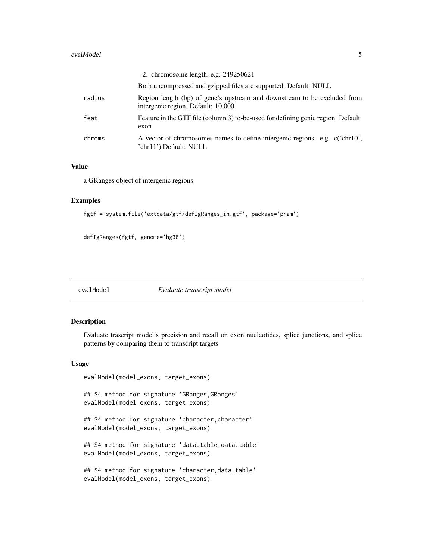#### <span id="page-4-0"></span>evalModel 55

|        | 2. chromosome length, e.g. 249250621                                                                           |
|--------|----------------------------------------------------------------------------------------------------------------|
|        | Both uncompressed and gzipped files are supported. Default: NULL                                               |
| radius | Region length (bp) of gene's upstream and downstream to be excluded from<br>intergenic region. Default: 10,000 |
| feat   | Feature in the GTF file (column 3) to-be-used for defining genic region. Default:<br>exon                      |
| chroms | A vector of chromosomes names to define intergenic regions. e.g. c('chr10',<br>'chr11') Default: NULL          |

#### Value

a GRanges object of intergenic regions

#### Examples

```
fgtf = system.file('extdata/gtf/defIgRanges_in.gtf', package='pram')
```

```
defIgRanges(fgtf, genome='hg38')
```
evalModel *Evaluate transcript model*

#### Description

Evaluate trascript model's precision and recall on exon nucleotides, splice junctions, and splice patterns by comparing them to transcript targets

#### Usage

evalModel(model\_exons, target\_exons)

## S4 method for signature 'GRanges, GRanges' evalModel(model\_exons, target\_exons)

## S4 method for signature 'character, character' evalModel(model\_exons, target\_exons)

## S4 method for signature 'data.table,data.table' evalModel(model\_exons, target\_exons)

```
## S4 method for signature 'character, data.table'
evalModel(model_exons, target_exons)
```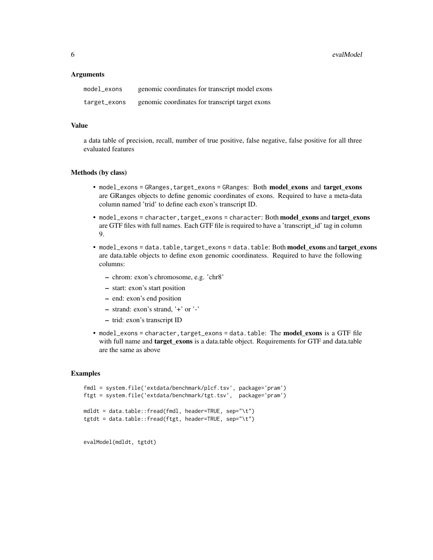6 evalModel

#### **Arguments**

| model_exons  | genomic coordinates for transcript model exons  |
|--------------|-------------------------------------------------|
| target_exons | genomic coordinates for transcript target exons |

#### Value

a data table of precision, recall, number of true positive, false negative, false positive for all three evaluated features

#### Methods (by class)

- model\_exons = GRanges,target\_exons = GRanges: Both model\_exons and target\_exons are GRanges objects to define genomic coordinates of exons. Required to have a meta-data column named 'trid' to define each exon's transcript ID.
- model\_exons = character, target\_exons = character: Both model\_exons and target\_exons are GTF files with full names. Each GTF file is required to have a 'transcript\_id' tag in column 9.
- model\_exons = data.table,target\_exons = data.table: Both model\_exons and target\_exons are data.table objects to define exon genomic coordinatess. Required to have the following columns:
	- chrom: exon's chromosome, e.g. 'chr8'
	- start: exon's start position
	- end: exon's end position
	- strand: exon's strand, '+' or '-'
	- trid: exon's transcript ID
- model\_exons = character,target\_exons = data.table: The model\_exons is a GTF file with full name and **target\_exons** is a data.table object. Requirements for GTF and data.table are the same as above

#### Examples

```
fmdl = system.file('extdata/benchmark/plcf.tsv', package='pram')
ftgt = system.file('extdata/benchmark/tgt.tsv', package='pram')
mdldt = data.table::fread(fmdl, header=TRUE, sep="\t")
tgtdt = data.table::fread(ftgt, header=TRUE, sep="\t")
```
evalModel(mdldt, tgtdt)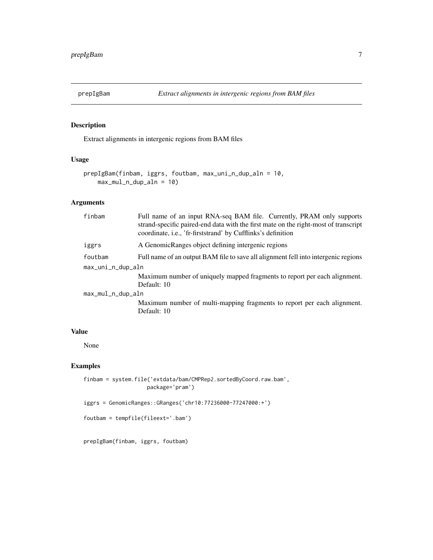<span id="page-6-0"></span>

# Description

Extract alignments in intergenic regions from BAM files

# Usage

```
prepIgBam(finbam, iggrs, foutbam, max_uni_n_dup_aln = 10,
   max_mul_n_dup_aln = 10)
```
# Arguments

| Full name of an input RNA-seq BAM file. Currently, PRAM only supports<br>strand-specific paired-end data with the first mate on the right-most of transcript<br>coordinate, i.e., 'fr-firststrand' by Cufflinks's definition |
|------------------------------------------------------------------------------------------------------------------------------------------------------------------------------------------------------------------------------|
| A GenomicRanges object defining intergenic regions                                                                                                                                                                           |
| Full name of an output BAM file to save all alignment fell into intergenic regions                                                                                                                                           |
| max_uni_n_dup_aln                                                                                                                                                                                                            |
| Maximum number of uniquely mapped fragments to report per each alignment.<br>Default: 10                                                                                                                                     |
| max_mul_n_dup_aln                                                                                                                                                                                                            |
| Maximum number of multi-mapping fragments to report per each alignment.<br>Default: 10                                                                                                                                       |
|                                                                                                                                                                                                                              |

# Value

None

#### Examples

```
finbam = system.file('extdata/bam/CMPRep2.sortedByCoord.raw.bam',
                   package='pram')
```

```
iggrs = GenomicRanges::GRanges('chr10:77236000-77247000:+')
```

```
foutbam = tempfile(fileext='.bam')
```
prepIgBam(finbam, iggrs, foutbam)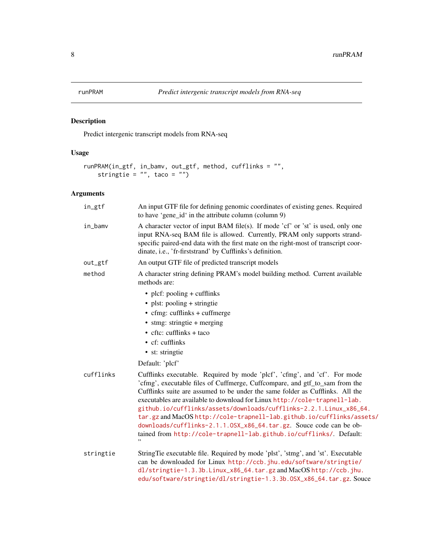<span id="page-7-0"></span>

# Description

Predict intergenic transcript models from RNA-seq

# Usage

```
runPRAM(in_gtf, in_bamv, out_gtf, method, cufflinks = "",
   stringtie = ", taco = ")
```

| in_gtf    | An input GTF file for defining genomic coordinates of existing genes. Required<br>to have 'gene_id' in the attribute column (column 9)                                                                                                                                                                                                                                                                                                                                                                                                                                                                             |
|-----------|--------------------------------------------------------------------------------------------------------------------------------------------------------------------------------------------------------------------------------------------------------------------------------------------------------------------------------------------------------------------------------------------------------------------------------------------------------------------------------------------------------------------------------------------------------------------------------------------------------------------|
| in_bamv   | A character vector of input BAM file(s). If mode 'cf' or 'st' is used, only one<br>input RNA-seq BAM file is allowed. Currently, PRAM only supports strand-<br>specific paired-end data with the first mate on the right-most of transcript coor-<br>dinate, i.e., 'fr-firststrand' by Cufflinks's definition.                                                                                                                                                                                                                                                                                                     |
| out_gtf   | An output GTF file of predicted transcript models                                                                                                                                                                                                                                                                                                                                                                                                                                                                                                                                                                  |
| method    | A character string defining PRAM's model building method. Current available<br>methods are:                                                                                                                                                                                                                                                                                                                                                                                                                                                                                                                        |
|           | • plcf: pooling + cufflinks                                                                                                                                                                                                                                                                                                                                                                                                                                                                                                                                                                                        |
|           | • plst: pooling + stringtie                                                                                                                                                                                                                                                                                                                                                                                                                                                                                                                                                                                        |
|           | $\bullet$ cfmg: cufflinks + cuffmerge                                                                                                                                                                                                                                                                                                                                                                                                                                                                                                                                                                              |
|           | • stmg: stringtie + merging                                                                                                                                                                                                                                                                                                                                                                                                                                                                                                                                                                                        |
|           | $\bullet$ cftc: cufflinks + taco                                                                                                                                                                                                                                                                                                                                                                                                                                                                                                                                                                                   |
|           | $\bullet$ cf: cufflinks                                                                                                                                                                                                                                                                                                                                                                                                                                                                                                                                                                                            |
|           | • st: stringtie                                                                                                                                                                                                                                                                                                                                                                                                                                                                                                                                                                                                    |
|           | Default: 'plcf'                                                                                                                                                                                                                                                                                                                                                                                                                                                                                                                                                                                                    |
| cufflinks | Cufflinks executable. Required by mode 'plcf', 'cfmg', and 'cf'. For mode<br>'cfmg', executable files of Cuffmerge, Cuffcompare, and gtf_to_sam from the<br>Cufflinks suite are assumed to be under the same folder as Cufflinks. All the<br>executables are available to download for Linux http://cole-trapnell-lab.<br>github.io/cufflinks/assets/downloads/cufflinks-2.2.1.Linux_x86_64.<br>tar.gz and MacOS http://cole-trapnell-lab.github.io/cufflinks/assets/<br>downloads/cufflinks-2.1.1.0SX_x86_64.tar.gz. Souce code can be ob-<br>tained from http://cole-trapnell-lab.github.io/cufflinks/. Default: |
| stringtie | StringTie executable file. Required by mode 'plst', 'stmg', and 'st'. Executable<br>can be downloaded for Linux http://ccb.jhu.edu/software/stringtie/<br>dl/stringtie-1.3.3b.Linux_x86_64.tar.gz and MacOS http://ccb.jhu.<br>edu/software/stringtie/dl/stringtie-1.3.3b.OSX_x86_64.tar.gz. Souce                                                                                                                                                                                                                                                                                                                 |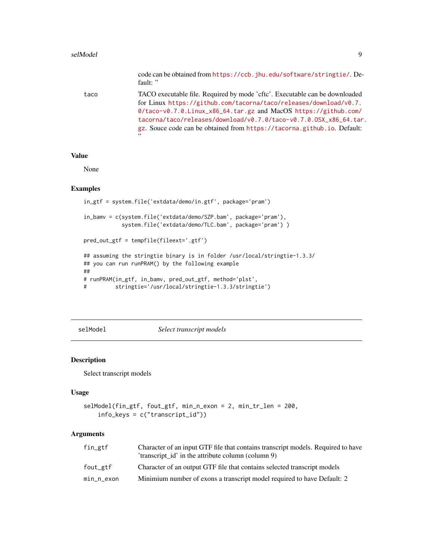#### <span id="page-8-0"></span>selModel 9

|      | code can be obtained from https://ccb.jhu.edu/software/stringtie/. De-<br>fault: "                                                                                                                                                                                                                                                                                        |
|------|---------------------------------------------------------------------------------------------------------------------------------------------------------------------------------------------------------------------------------------------------------------------------------------------------------------------------------------------------------------------------|
| taco | TACO executable file. Required by mode 'cftc'. Executable can be downloaded<br>for Linux https://github.com/tacorna/taco/releases/download/v0.7.<br>0/taco-v0.7.0.Linux_x86_64.tar.gz and MacOS https://github.com/<br>tacorna/taco/releases/download/v0.7.0/taco-v0.7.0.0SX_x86_64.tar.<br>gz. Souce code can be obtained from https://tacorna.github.io. Default:<br>,, |

# Value

None

#### Examples

```
in_gtf = system.file('extdata/demo/in.gtf', package='pram')
in_bamv = c(system.file('extdata/demo/SZP.bam', package='pram'),
            system.file('extdata/demo/TLC.bam', package='pram') )
pred_out_gtf = tempfile(fileext='.gtf')
## assuming the stringtie binary is in folder /usr/local/stringtie-1.3.3/
## you can run runPRAM() by the following example
##
# runPRAM(in_gtf, in_bamv, pred_out_gtf, method='plst',
```

```
# stringtie='/usr/local/stringtie-1.3.3/stringtie')
```
selModel *Select transcript models*

#### Description

Select transcript models

# Usage

```
selModel(fin_gtf, fout_gtf, min_n_exon = 2, min_tr_len = 200,
   info_keys = c("transcript_id"))
```

| fin_gtf    | Character of an input GTF file that contains transcript models. Required to have |
|------------|----------------------------------------------------------------------------------|
|            | transcript id' in the attribute column (column 9)                                |
| fout_gtf   | Character of an output GTF file that contains selected transcript models         |
| min_n_exon | Minimium number of exons a transcript model required to have Default: 2          |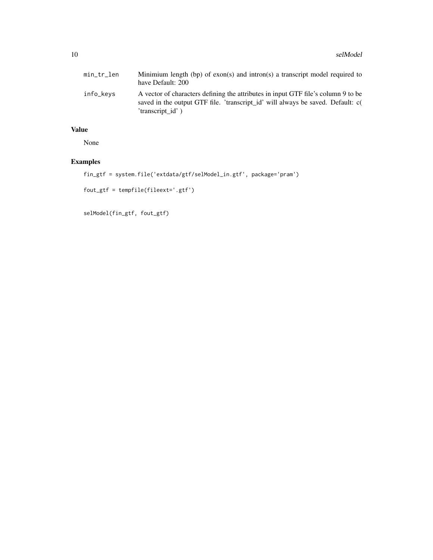| min_tr_len | Minimium length (bp) of exon(s) and intron(s) a transcript model required to<br>have Default: 200                                                                                        |
|------------|------------------------------------------------------------------------------------------------------------------------------------------------------------------------------------------|
| info_keys  | A vector of characters defining the attributes in input GTF file's column 9 to be<br>saved in the output GTF file. 'transcript_id' will always be saved. Default: c(<br>'transcript id') |

# Value

None

# Examples

fin\_gtf = system.file('extdata/gtf/selModel\_in.gtf', package='pram')

```
fout_gtf = tempfile(fileext='.gtf')
```

```
selModel(fin_gtf, fout_gtf)
```